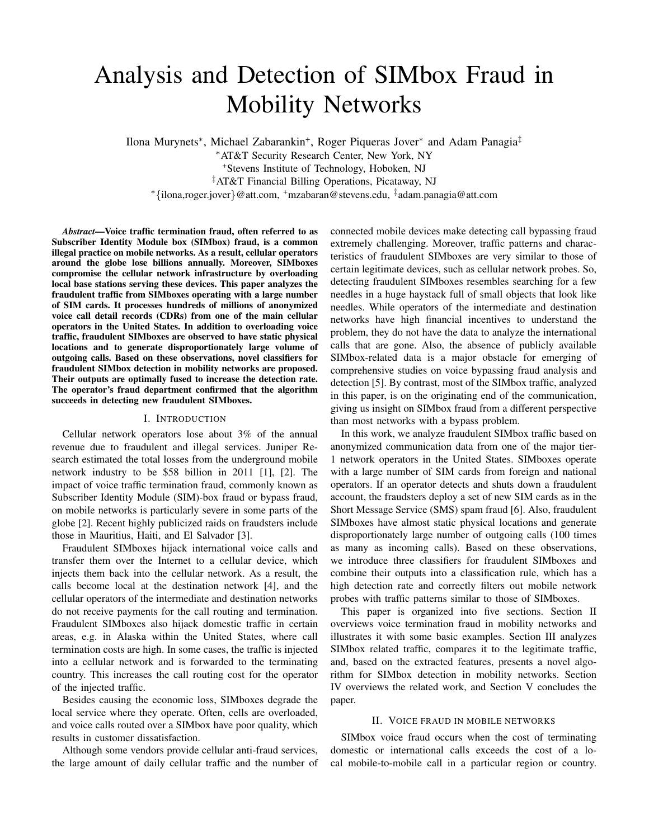# Analysis and Detection of SIMbox Fraud in Mobility Networks

Ilona Murynets\*, Michael Zabarankin<sup>+</sup>, Roger Piqueras Jover\* and Adam Panagia<sup>‡</sup> <sup>∗</sup>AT&T Security Research Center, New York, NY

<sup>+</sup>Stevens Institute of Technology, Hoboken, NJ

‡AT&T Financial Billing Operations, Picataway, NJ

<sup>∗</sup>{ilona,roger.jover}@att.com, <sup>+</sup>mzabaran@stevens.edu, ‡ adam.panagia@att.com

*Abstract*—Voice traffic termination fraud, often referred to as Subscriber Identity Module box (SIMbox) fraud, is a common illegal practice on mobile networks. As a result, cellular operators around the globe lose billions annually. Moreover, SIMboxes compromise the cellular network infrastructure by overloading local base stations serving these devices. This paper analyzes the fraudulent traffic from SIMboxes operating with a large number of SIM cards. It processes hundreds of millions of anonymized voice call detail records (CDRs) from one of the main cellular operators in the United States. In addition to overloading voice traffic, fraudulent SIMboxes are observed to have static physical locations and to generate disproportionately large volume of outgoing calls. Based on these observations, novel classifiers for fraudulent SIMbox detection in mobility networks are proposed. Their outputs are optimally fused to increase the detection rate. The operator's fraud department confirmed that the algorithm succeeds in detecting new fraudulent SIMboxes.

#### I. INTRODUCTION

Cellular network operators lose about 3% of the annual revenue due to fraudulent and illegal services. Juniper Research estimated the total losses from the underground mobile network industry to be \$58 billion in 2011 [1], [2]. The impact of voice traffic termination fraud, commonly known as Subscriber Identity Module (SIM)-box fraud or bypass fraud, on mobile networks is particularly severe in some parts of the globe [2]. Recent highly publicized raids on fraudsters include those in Mauritius, Haiti, and El Salvador [3].

Fraudulent SIMboxes hijack international voice calls and transfer them over the Internet to a cellular device, which injects them back into the cellular network. As a result, the calls become local at the destination network [4], and the cellular operators of the intermediate and destination networks do not receive payments for the call routing and termination. Fraudulent SIMboxes also hijack domestic traffic in certain areas, e.g. in Alaska within the United States, where call termination costs are high. In some cases, the traffic is injected into a cellular network and is forwarded to the terminating country. This increases the call routing cost for the operator of the injected traffic.

Besides causing the economic loss, SIMboxes degrade the local service where they operate. Often, cells are overloaded, and voice calls routed over a SIMbox have poor quality, which results in customer dissatisfaction.

Although some vendors provide cellular anti-fraud services, the large amount of daily cellular traffic and the number of connected mobile devices make detecting call bypassing fraud extremely challenging. Moreover, traffic patterns and characteristics of fraudulent SIMboxes are very similar to those of certain legitimate devices, such as cellular network probes. So, detecting fraudulent SIMboxes resembles searching for a few needles in a huge haystack full of small objects that look like needles. While operators of the intermediate and destination networks have high financial incentives to understand the problem, they do not have the data to analyze the international calls that are gone. Also, the absence of publicly available SIMbox-related data is a major obstacle for emerging of comprehensive studies on voice bypassing fraud analysis and detection [5]. By contrast, most of the SIMbox traffic, analyzed in this paper, is on the originating end of the communication, giving us insight on SIMbox fraud from a different perspective than most networks with a bypass problem.

In this work, we analyze fraudulent SIMbox traffic based on anonymized communication data from one of the major tier-1 network operators in the United States. SIMboxes operate with a large number of SIM cards from foreign and national operators. If an operator detects and shuts down a fraudulent account, the fraudsters deploy a set of new SIM cards as in the Short Message Service (SMS) spam fraud [6]. Also, fraudulent SIMboxes have almost static physical locations and generate disproportionately large number of outgoing calls (100 times as many as incoming calls). Based on these observations, we introduce three classifiers for fraudulent SIMboxes and combine their outputs into a classification rule, which has a high detection rate and correctly filters out mobile network probes with traffic patterns similar to those of SIMboxes.

This paper is organized into five sections. Section II overviews voice termination fraud in mobility networks and illustrates it with some basic examples. Section III analyzes SIMbox related traffic, compares it to the legitimate traffic, and, based on the extracted features, presents a novel algorithm for SIMbox detection in mobility networks. Section IV overviews the related work, and Section V concludes the paper.

#### II. VOICE FRAUD IN MOBILE NETWORKS

SIMbox voice fraud occurs when the cost of terminating domestic or international calls exceeds the cost of a local mobile-to-mobile call in a particular region or country.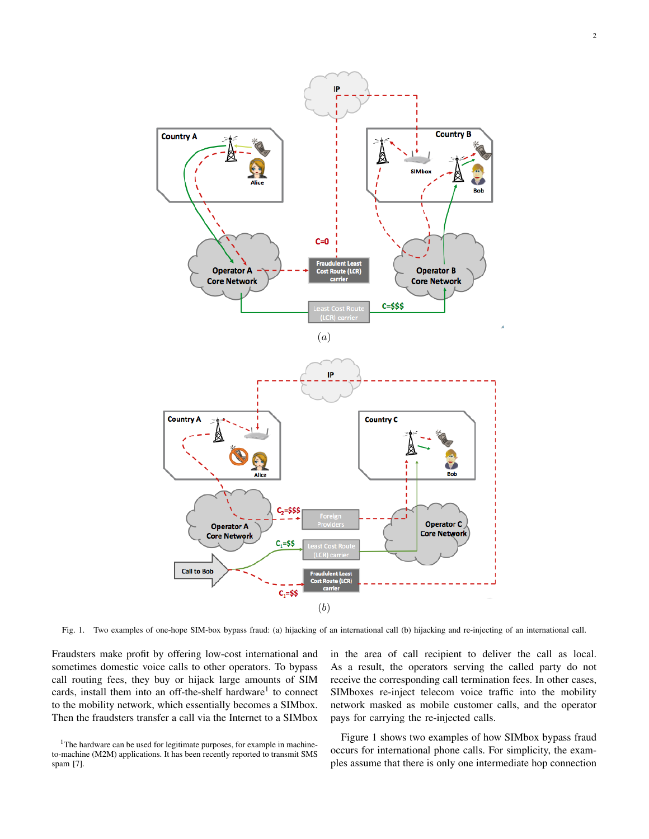

Fig. 1. Two examples of one-hope SIM-box bypass fraud: (a) hijacking of an international call (b) hijacking and re-injecting of an international call.

Fraudsters make profit by offering low-cost international and sometimes domestic voice calls to other operators. To bypass call routing fees, they buy or hijack large amounts of SIM cards, install them into an off-the-shelf hardware<sup>1</sup> to connect to the mobility network, which essentially becomes a SIMbox. Then the fraudsters transfer a call via the Internet to a SIMbox

<sup>1</sup>The hardware can be used for legitimate purposes, for example in machineto-machine (M2M) applications. It has been recently reported to transmit SMS spam [7].

in the area of call recipient to deliver the call as local. As a result, the operators serving the called party do not receive the corresponding call termination fees. In other cases, SIMboxes re-inject telecom voice traffic into the mobility network masked as mobile customer calls, and the operator pays for carrying the re-injected calls.

Figure 1 shows two examples of how SIMbox bypass fraud occurs for international phone calls. For simplicity, the examples assume that there is only one intermediate hop connection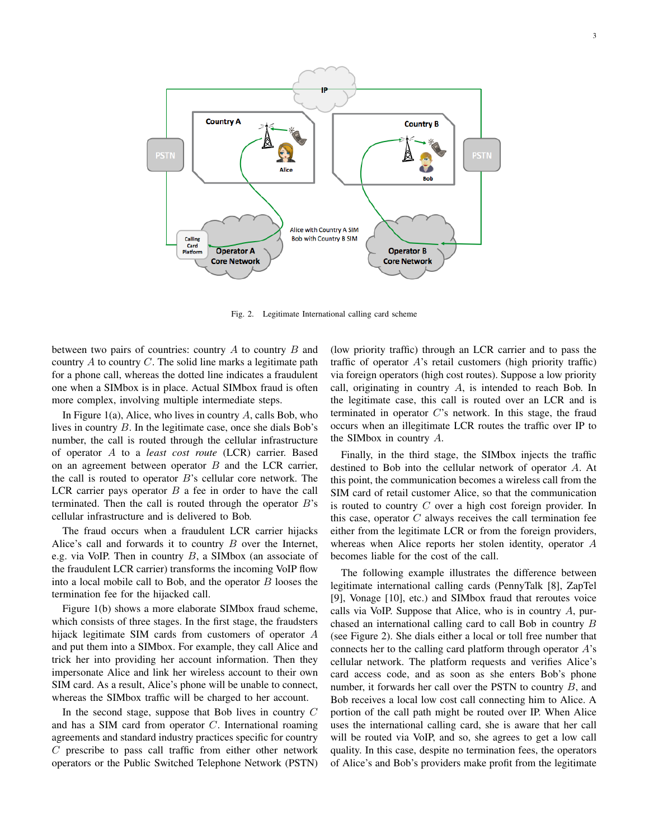

Fig. 2. Legitimate International calling card scheme

between two pairs of countries: country  $A$  to country  $B$  and country  $A$  to country  $C$ . The solid line marks a legitimate path for a phone call, whereas the dotted line indicates a fraudulent one when a SIMbox is in place. Actual SIMbox fraud is often more complex, involving multiple intermediate steps.

In Figure 1(a), Alice, who lives in country  $A$ , calls Bob, who lives in country B. In the legitimate case, once she dials Bob's number, the call is routed through the cellular infrastructure of operator A to a *least cost route* (LCR) carrier. Based on an agreement between operator  $B$  and the LCR carrier, the call is routed to operator  $B$ 's cellular core network. The LCR carrier pays operator  $B$  a fee in order to have the call terminated. Then the call is routed through the operator  $B$ 's cellular infrastructure and is delivered to Bob.

The fraud occurs when a fraudulent LCR carrier hijacks Alice's call and forwards it to country  $B$  over the Internet, e.g. via VoIP. Then in country  $B$ , a SIMbox (an associate of the fraudulent LCR carrier) transforms the incoming VoIP flow into a local mobile call to Bob, and the operator  $B$  looses the termination fee for the hijacked call.

Figure 1(b) shows a more elaborate SIMbox fraud scheme, which consists of three stages. In the first stage, the fraudsters hijack legitimate SIM cards from customers of operator A and put them into a SIMbox. For example, they call Alice and trick her into providing her account information. Then they impersonate Alice and link her wireless account to their own SIM card. As a result, Alice's phone will be unable to connect, whereas the SIMbox traffic will be charged to her account.

In the second stage, suppose that Bob lives in country  $C$ and has a SIM card from operator C. International roaming agreements and standard industry practices specific for country  $C$  prescribe to pass call traffic from either other network operators or the Public Switched Telephone Network (PSTN)

(low priority traffic) through an LCR carrier and to pass the traffic of operator  $A$ 's retail customers (high priority traffic) via foreign operators (high cost routes). Suppose a low priority call, originating in country A, is intended to reach Bob. In the legitimate case, this call is routed over an LCR and is terminated in operator C's network. In this stage, the fraud occurs when an illegitimate LCR routes the traffic over IP to the SIMbox in country A.

Finally, in the third stage, the SIMbox injects the traffic destined to Bob into the cellular network of operator A. At this point, the communication becomes a wireless call from the SIM card of retail customer Alice, so that the communication is routed to country  $C$  over a high cost foreign provider. In this case, operator  $C$  always receives the call termination fee either from the legitimate LCR or from the foreign providers, whereas when Alice reports her stolen identity, operator A becomes liable for the cost of the call.

The following example illustrates the difference between legitimate international calling cards (PennyTalk [8], ZapTel [9], Vonage [10], etc.) and SIMbox fraud that reroutes voice calls via VoIP. Suppose that Alice, who is in country A, purchased an international calling card to call Bob in country B (see Figure 2). She dials either a local or toll free number that connects her to the calling card platform through operator A's cellular network. The platform requests and verifies Alice's card access code, and as soon as she enters Bob's phone number, it forwards her call over the PSTN to country B, and Bob receives a local low cost call connecting him to Alice. A portion of the call path might be routed over IP. When Alice uses the international calling card, she is aware that her call will be routed via VoIP, and so, she agrees to get a low call quality. In this case, despite no termination fees, the operators of Alice's and Bob's providers make profit from the legitimate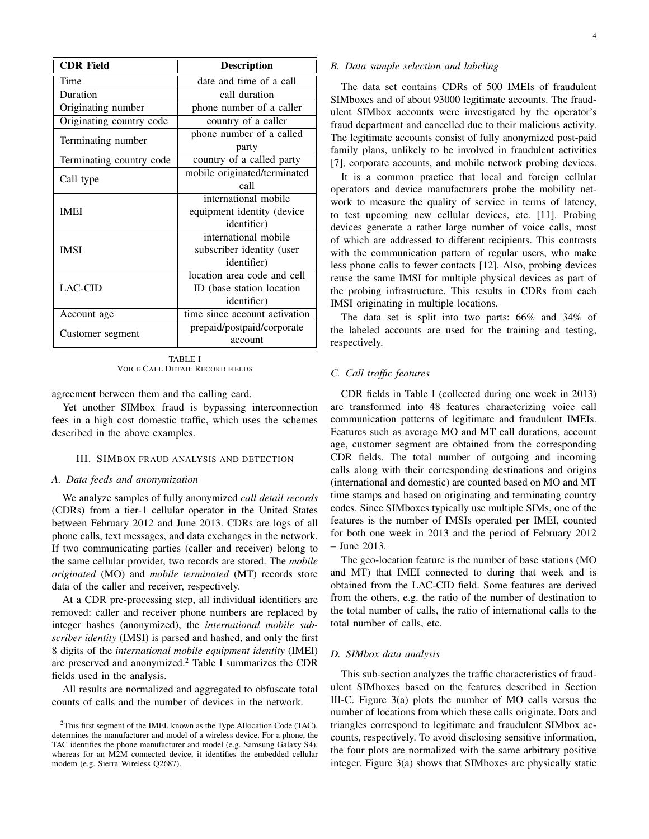| <b>Description</b>            |  |  |
|-------------------------------|--|--|
| date and time of a call       |  |  |
| call duration                 |  |  |
| phone number of a caller      |  |  |
| country of a caller           |  |  |
| phone number of a called      |  |  |
| party                         |  |  |
| country of a called party     |  |  |
| mobile originated/terminated  |  |  |
| call                          |  |  |
| international mobile          |  |  |
| equipment identity (device    |  |  |
| <i>identifier</i> )           |  |  |
| international mobile          |  |  |
| subscriber identity (user     |  |  |
| identifier)                   |  |  |
| location area code and cell   |  |  |
| ID (base station location     |  |  |
| <i>identifier</i> )           |  |  |
| time since account activation |  |  |
| prepaid/postpaid/corporate    |  |  |
| account                       |  |  |
|                               |  |  |

TABLE I VOICE CALL DETAIL RECORD FIELDS

agreement between them and the calling card.

Yet another SIMbox fraud is bypassing interconnection fees in a high cost domestic traffic, which uses the schemes described in the above examples.

## III. SIMBOX FRAUD ANALYSIS AND DETECTION

#### *A. Data feeds and anonymization*

We analyze samples of fully anonymized *call detail records* (CDRs) from a tier-1 cellular operator in the United States between February 2012 and June 2013. CDRs are logs of all phone calls, text messages, and data exchanges in the network. If two communicating parties (caller and receiver) belong to the same cellular provider, two records are stored. The *mobile originated* (MO) and *mobile terminated* (MT) records store data of the caller and receiver, respectively.

At a CDR pre-processing step, all individual identifiers are removed: caller and receiver phone numbers are replaced by integer hashes (anonymized), the *international mobile subscriber identity* (IMSI) is parsed and hashed, and only the first 8 digits of the *international mobile equipment identity* (IMEI) are preserved and anonymized.<sup>2</sup> Table I summarizes the CDR fields used in the analysis.

All results are normalized and aggregated to obfuscate total counts of calls and the number of devices in the network.

#### *B. Data sample selection and labeling*

The data set contains CDRs of 500 IMEIs of fraudulent SIMboxes and of about 93000 legitimate accounts. The fraudulent SIMbox accounts were investigated by the operator's fraud department and cancelled due to their malicious activity. The legitimate accounts consist of fully anonymized post-paid family plans, unlikely to be involved in fraudulent activities [7], corporate accounts, and mobile network probing devices.

It is a common practice that local and foreign cellular operators and device manufacturers probe the mobility network to measure the quality of service in terms of latency, to test upcoming new cellular devices, etc. [11]. Probing devices generate a rather large number of voice calls, most of which are addressed to different recipients. This contrasts with the communication pattern of regular users, who make less phone calls to fewer contacts [12]. Also, probing devices reuse the same IMSI for multiple physical devices as part of the probing infrastructure. This results in CDRs from each IMSI originating in multiple locations.

The data set is split into two parts: 66% and 34% of the labeled accounts are used for the training and testing, respectively.

#### *C. Call traffic features*

CDR fields in Table I (collected during one week in 2013) are transformed into 48 features characterizing voice call communication patterns of legitimate and fraudulent IMEIs. Features such as average MO and MT call durations, account age, customer segment are obtained from the corresponding CDR fields. The total number of outgoing and incoming calls along with their corresponding destinations and origins (international and domestic) are counted based on MO and MT time stamps and based on originating and terminating country codes. Since SIMboxes typically use multiple SIMs, one of the features is the number of IMSIs operated per IMEI, counted for both one week in 2013 and the period of February 2012 – June 2013.

The geo-location feature is the number of base stations (MO and MT) that IMEI connected to during that week and is obtained from the LAC-CID field. Some features are derived from the others, e.g. the ratio of the number of destination to the total number of calls, the ratio of international calls to the total number of calls, etc.

#### *D. SIMbox data analysis*

This sub-section analyzes the traffic characteristics of fraudulent SIMboxes based on the features described in Section III-C. Figure 3(a) plots the number of MO calls versus the number of locations from which these calls originate. Dots and triangles correspond to legitimate and fraudulent SIMbox accounts, respectively. To avoid disclosing sensitive information, the four plots are normalized with the same arbitrary positive integer. Figure 3(a) shows that SIMboxes are physically static

<sup>&</sup>lt;sup>2</sup>This first segment of the IMEI, known as the Type Allocation Code (TAC), determines the manufacturer and model of a wireless device. For a phone, the TAC identifies the phone manufacturer and model (e.g. Samsung Galaxy S4), whereas for an M2M connected device, it identifies the embedded cellular modem (e.g. Sierra Wireless Q2687).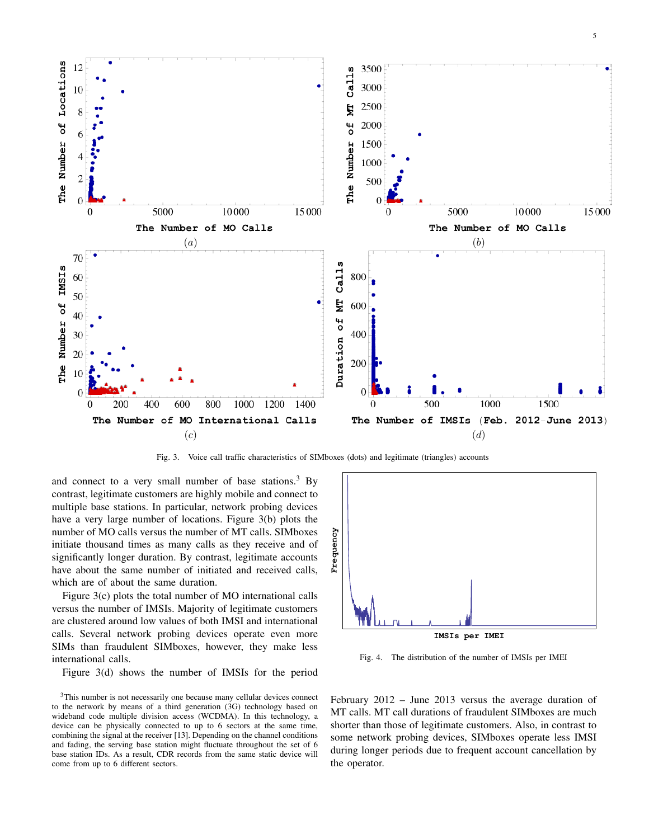

Fig. 3. Voice call traffic characteristics of SIMboxes (dots) and legitimate (triangles) accounts

and connect to a very small number of base stations.<sup>3</sup> By contrast, legitimate customers are highly mobile and connect to multiple base stations. In particular, network probing devices have a very large number of locations. Figure 3(b) plots the number of MO calls versus the number of MT calls. SIMboxes initiate thousand times as many calls as they receive and of significantly longer duration. By contrast, legitimate accounts have about the same number of initiated and received calls, which are of about the same duration.

Figure 3(c) plots the total number of MO international calls versus the number of IMSIs. Majority of legitimate customers are clustered around low values of both IMSI and international calls. Several network probing devices operate even more SIMs than fraudulent SIMboxes, however, they make less international calls.

Figure 3(d) shows the number of IMSIs for the period

<sup>3</sup>This number is not necessarily one because many cellular devices connect to the network by means of a third generation (3G) technology based on wideband code multiple division access (WCDMA). In this technology, a device can be physically connected to up to 6 sectors at the same time, combining the signal at the receiver [13]. Depending on the channel conditions and fading, the serving base station might fluctuate throughout the set of 6 base station IDs. As a result, CDR records from the same static device will come from up to 6 different sectors.



Fig. 4. The distribution of the number of IMSIs per IMEI

February 2012 – June 2013 versus the average duration of MT calls. MT call durations of fraudulent SIMboxes are much shorter than those of legitimate customers. Also, in contrast to some network probing devices, SIMboxes operate less IMSI during longer periods due to frequent account cancellation by the operator.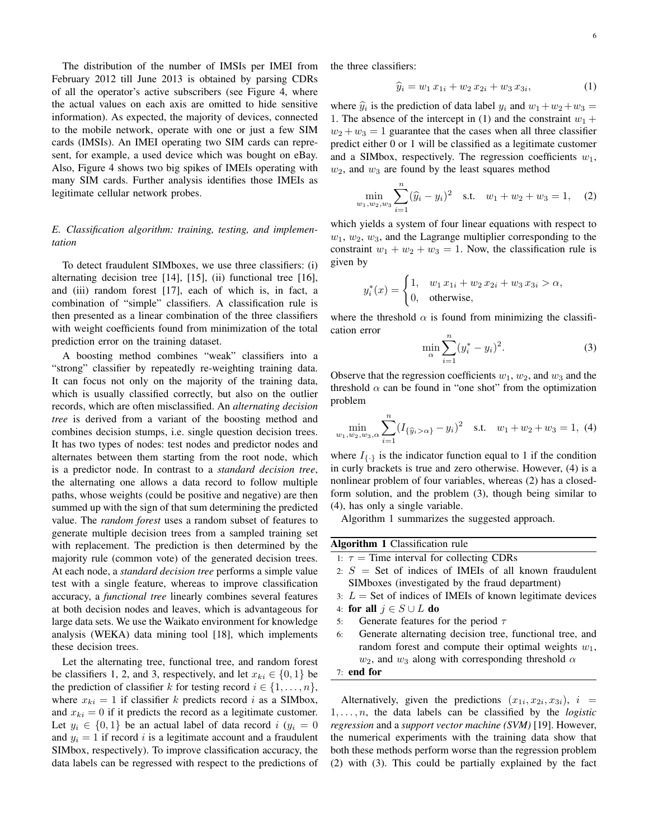The distribution of the number of IMSIs per IMEI from February 2012 till June 2013 is obtained by parsing CDRs of all the operator's active subscribers (see Figure 4, where the actual values on each axis are omitted to hide sensitive information). As expected, the majority of devices, connected to the mobile network, operate with one or just a few SIM cards (IMSIs). An IMEI operating two SIM cards can represent, for example, a used device which was bought on eBay. Also, Figure 4 shows two big spikes of IMEIs operating with many SIM cards. Further analysis identifies those IMEIs as legitimate cellular network probes.

## *E. Classification algorithm: training, testing, and implementation*

To detect fraudulent SIMboxes, we use three classifiers: (i) alternating decision tree [14], [15], (ii) functional tree [16], and (iii) random forest [17], each of which is, in fact, a combination of "simple" classifiers. A classification rule is then presented as a linear combination of the three classifiers with weight coefficients found from minimization of the total prediction error on the training dataset.

A boosting method combines "weak" classifiers into a "strong" classifier by repeatedly re-weighting training data. It can focus not only on the majority of the training data, which is usually classified correctly, but also on the outlier records, which are often misclassified. An *alternating decision tree* is derived from a variant of the boosting method and combines decision stumps, i.e. single question decision trees. It has two types of nodes: test nodes and predictor nodes and alternates between them starting from the root node, which is a predictor node. In contrast to a *standard decision tree*, the alternating one allows a data record to follow multiple paths, whose weights (could be positive and negative) are then summed up with the sign of that sum determining the predicted value. The *random forest* uses a random subset of features to generate multiple decision trees from a sampled training set with replacement. The prediction is then determined by the majority rule (common vote) of the generated decision trees. At each node, a *standard decision tree* performs a simple value test with a single feature, whereas to improve classification accuracy, a *functional tree* linearly combines several features at both decision nodes and leaves, which is advantageous for large data sets. We use the Waikato environment for knowledge analysis (WEKA) data mining tool [18], which implements these decision trees.

Let the alternating tree, functional tree, and random forest be classifiers 1, 2, and 3, respectively, and let  $x_{ki} \in \{0, 1\}$  be the prediction of classifier k for testing record  $i \in \{1, \ldots, n\}$ , where  $x_{ki} = 1$  if classifier k predicts record i as a SIMbox, and  $x_{ki} = 0$  if it predicts the record as a legitimate customer. Let  $y_i \in \{0,1\}$  be an actual label of data record  $i$   $(y_i = 0)$ and  $y_i = 1$  if record i is a legitimate account and a fraudulent SIMbox, respectively). To improve classification accuracy, the data labels can be regressed with respect to the predictions of the three classifiers:

$$
\widehat{y}_i = w_1 \, x_{1i} + w_2 \, x_{2i} + w_3 \, x_{3i},\tag{1}
$$

where  $\hat{y}_i$  is the prediction of data label  $y_i$  and  $w_1 + w_2 + w_3 = 1$ . The absence of the intercent in (1) and the constraint  $w_1 + w_2$ 1. The absence of the intercept in (1) and the constraint  $w_1 +$  $w_2 + w_3 = 1$  guarantee that the cases when all three classifier predict either 0 or 1 will be classified as a legitimate customer and a SIMbox, respectively. The regression coefficients  $w_1$ ,  $w_2$ , and  $w_3$  are found by the least squares method

$$
\min_{w_1, w_2, w_3} \sum_{i=1}^n (\widehat{y}_i - y_i)^2 \quad \text{s.t.} \quad w_1 + w_2 + w_3 = 1,\tag{2}
$$

which yields a system of four linear equations with respect to  $w_1, w_2, w_3$ , and the Lagrange multiplier corresponding to the constraint  $w_1 + w_2 + w_3 = 1$ . Now, the classification rule is given by

$$
y_i^*(x) = \begin{cases} 1, & w_1 \, x_{1i} + w_2 \, x_{2i} + w_3 \, x_{3i} > \alpha, \\ 0, & \text{otherwise,} \end{cases}
$$

where the threshold  $\alpha$  is found from minimizing the classification error

$$
\min_{\alpha} \sum_{i=1}^{n} (y_i^* - y_i)^2.
$$
 (3)

Observe that the regression coefficients  $w_1, w_2$ , and  $w_3$  and the threshold  $\alpha$  can be found in "one shot" from the optimization problem

$$
\min_{w_1, w_2, w_3, \alpha} \sum_{i=1}^n (I_{\{\hat{y}_i > \alpha\}} - y_i)^2 \quad \text{s.t.} \quad w_1 + w_2 + w_3 = 1, \tag{4}
$$

where  $I_{\{.\}}$  is the indicator function equal to 1 if the condition in curly brackets is true and zero otherwise. However, (4) is a nonlinear problem of four variables, whereas (2) has a closedform solution, and the problem (3), though being similar to (4), has only a single variable.

Algorithm 1 summarizes the suggested approach.

| <b>Algorithm 1</b> Classification rule                   |
|----------------------------------------------------------|
| 1: $\tau$ = Time interval for collecting CDRs            |
| 2: $S =$ Set of indices of IMEIs of all known fraudulent |
| SIMboxes (investigated by the fraud department)          |

3:  $L =$  Set of indices of IMEIs of known legitimate devices

- 4: for all  $j \in S \cup L$  do
- 5: Generate features for the period  $\tau$
- 6: Generate alternating decision tree, functional tree, and random forest and compute their optimal weights  $w_1$ ,  $w_2$ , and  $w_3$  along with corresponding threshold  $\alpha$

7: end for

Alternatively, given the predictions  $(x_{1i}, x_{2i}, x_{3i})$ ,  $i =$  $1, \ldots, n$ , the data labels can be classified by the *logistic regression* and a *support vector machine (SVM)* [19]. However, the numerical experiments with the training data show that both these methods perform worse than the regression problem (2) with (3). This could be partially explained by the fact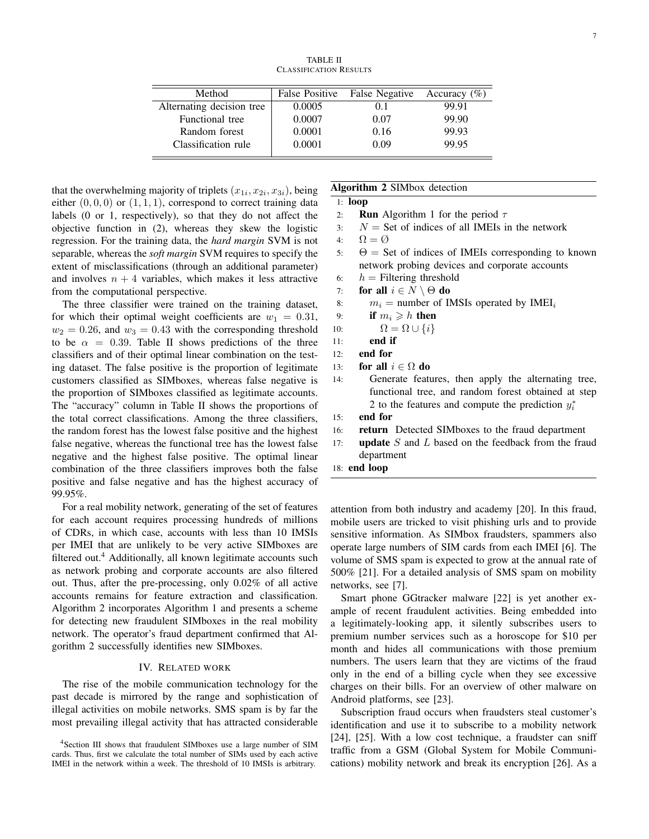| Method                    | <b>False Positive</b> | False Negative | Accuracy $(\% )$ |
|---------------------------|-----------------------|----------------|------------------|
| Alternating decision tree | 0.0005                | 0.1            | 99.91            |
| Functional tree           | 0.0007                | 0.07           | 99.90            |
| Random forest             | 0.0001                | 0.16           | 99.93            |
| Classification rule       | 0.0001                | 0.09           | 99.95            |

that the overwhelming majority of triplets  $(x_{1i}, x_{2i}, x_{3i})$ , being either  $(0, 0, 0)$  or  $(1, 1, 1)$ , correspond to correct training data labels (0 or 1, respectively), so that they do not affect the objective function in (2), whereas they skew the logistic regression. For the training data, the *hard margin* SVM is not separable, whereas the *soft margin* SVM requires to specify the extent of misclassifications (through an additional parameter) and involves  $n + 4$  variables, which makes it less attractive from the computational perspective.

The three classifier were trained on the training dataset, for which their optimal weight coefficients are  $w_1 = 0.31$ ,  $w_2 = 0.26$ , and  $w_3 = 0.43$  with the corresponding threshold to be  $\alpha = 0.39$ . Table II shows predictions of the three classifiers and of their optimal linear combination on the testing dataset. The false positive is the proportion of legitimate customers classified as SIMboxes, whereas false negative is the proportion of SIMboxes classified as legitimate accounts. The "accuracy" column in Table II shows the proportions of the total correct classifications. Among the three classifiers, the random forest has the lowest false positive and the highest false negative, whereas the functional tree has the lowest false negative and the highest false positive. The optimal linear combination of the three classifiers improves both the false positive and false negative and has the highest accuracy of 99.95%.

For a real mobility network, generating of the set of features for each account requires processing hundreds of millions of CDRs, in which case, accounts with less than 10 IMSIs per IMEI that are unlikely to be very active SIMboxes are filtered out.<sup>4</sup> Additionally, all known legitimate accounts such as network probing and corporate accounts are also filtered out. Thus, after the pre-processing, only 0.02% of all active accounts remains for feature extraction and classification. Algorithm 2 incorporates Algorithm 1 and presents a scheme for detecting new fraudulent SIMboxes in the real mobility network. The operator's fraud department confirmed that Algorithm 2 successfully identifies new SIMboxes.

#### IV. RELATED WORK

The rise of the mobile communication technology for the past decade is mirrored by the range and sophistication of illegal activities on mobile networks. SMS spam is by far the most prevailing illegal activity that has attracted considerable

## Algorithm 2 SIMbox detection

1: loop

- 2: **Run** Algorithm 1 for the period  $\tau$
- 3:  $N =$  Set of indices of all IMEIs in the network
- 4:  $\Omega = \emptyset$
- 5:  $\Theta =$  Set of indices of IMEIs corresponding to known network probing devices and corporate accounts
- 6:  $h =$  Filtering threshold
- 7: for all  $i \in N \setminus \Theta$  do
- 8:  $m_i$  = number of IMSIs operated by IMEI<sub>i</sub>
- 9: if  $m_i \geq h$  then
- 10:  $\Omega = \Omega \cup \{i\}$
- 11: end if
- 12: end for
- 13: for all  $i \in \Omega$  do

14: Generate features, then apply the alternating tree, functional tree, and random forest obtained at step 2 to the features and compute the prediction  $y_i^*$ 

- 15: end for
- 16: **return** Detected SIMboxes to the fraud department
- 17: **update** S and L based on the feedback from the fraud department
- 18: end loop

attention from both industry and academy [20]. In this fraud, mobile users are tricked to visit phishing urls and to provide sensitive information. As SIMbox fraudsters, spammers also operate large numbers of SIM cards from each IMEI [6]. The volume of SMS spam is expected to grow at the annual rate of 500% [21]. For a detailed analysis of SMS spam on mobility networks, see [7].

Smart phone GGtracker malware [22] is yet another example of recent fraudulent activities. Being embedded into a legitimately-looking app, it silently subscribes users to premium number services such as a horoscope for \$10 per month and hides all communications with those premium numbers. The users learn that they are victims of the fraud only in the end of a billing cycle when they see excessive charges on their bills. For an overview of other malware on Android platforms, see [23].

Subscription fraud occurs when fraudsters steal customer's identification and use it to subscribe to a mobility network [24], [25]. With a low cost technique, a fraudster can sniff traffic from a GSM (Global System for Mobile Communications) mobility network and break its encryption [26]. As a

<sup>4</sup>Section III shows that fraudulent SIMboxes use a large number of SIM cards. Thus, first we calculate the total number of SIMs used by each active IMEI in the network within a week. The threshold of 10 IMSIs is arbitrary.